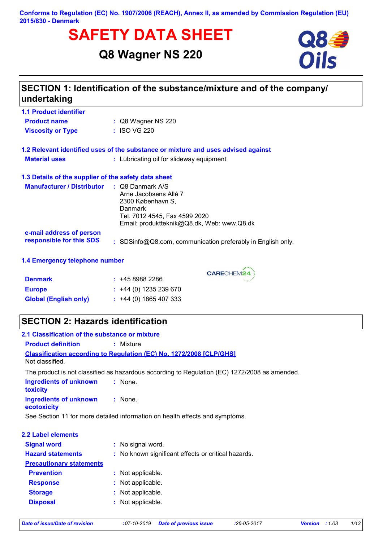#### **Conforms to Regulation (EC) No. 1907/2006 (REACH), Annex II, as amended by Commission Regulation (EU) 2015/830 - Denmark**

# **SAFETY DATA SHEET**<br>
Q8 Wagner NS 220<br>
Oils

# **Q8 Wagner NS 220**



| <b>1.1 Product identifier</b>                        |                                                                                                                                                                            |
|------------------------------------------------------|----------------------------------------------------------------------------------------------------------------------------------------------------------------------------|
| <b>Product name</b>                                  | $\therefore$ Q8 Wagner NS 220                                                                                                                                              |
| <b>Viscosity or Type</b>                             | : ISO VG 220                                                                                                                                                               |
|                                                      | 1.2 Relevant identified uses of the substance or mixture and uses advised against                                                                                          |
| <b>Material uses</b>                                 | : Lubricating oil for slideway equipment                                                                                                                                   |
| 1.3 Details of the supplier of the safety data sheet |                                                                                                                                                                            |
| <b>Manufacturer / Distributor</b>                    | $\therefore$ Q8 Danmark A/S<br>Arne Jacobsens Allé 7<br>2300 København S.<br><b>Danmark</b><br>Tel. 7012 4545, Fax 4599 2020<br>Email: produktteknik@Q8.dk, Web: www.Q8.dk |
| e-mail address of person<br>responsible for this SDS | : SDSinfo@Q8.com, communication preferably in English only.                                                                                                                |
| 1.4 Emergency telephone number                       |                                                                                                                                                                            |

CARECHEM24

| <b>Denmark</b>               | : 4589882286                |
|------------------------------|-----------------------------|
| <b>Europe</b>                | $\div$ +44 (0) 1235 239 670 |
| <b>Global (English only)</b> | $\div$ +44 (0) 1865 407 333 |

## **SECTION 2: Hazards identification**

| 2.1 Classification of the substance or mixture                               |                                                                                               |  |  |  |
|------------------------------------------------------------------------------|-----------------------------------------------------------------------------------------------|--|--|--|
| <b>Product definition</b>                                                    | $:$ Mixture                                                                                   |  |  |  |
|                                                                              | <b>Classification according to Regulation (EC) No. 1272/2008 [CLP/GHS]</b>                    |  |  |  |
| Not classified.                                                              |                                                                                               |  |  |  |
|                                                                              | The product is not classified as hazardous according to Regulation (EC) 1272/2008 as amended. |  |  |  |
| Ingredients of unknown<br>toxicity                                           | : None.                                                                                       |  |  |  |
| Ingredients of unknown<br>ecotoxicity                                        | $:$ None.                                                                                     |  |  |  |
| See Section 11 for more detailed information on health effects and symptoms. |                                                                                               |  |  |  |
| <b>2.2 Label elements</b>                                                    |                                                                                               |  |  |  |
| <b>Signal word</b>                                                           | : No signal word.                                                                             |  |  |  |
| <b>Hazard statements</b>                                                     | : No known significant effects or critical hazards.                                           |  |  |  |
| <b>Precautionary statements</b>                                              |                                                                                               |  |  |  |
| <b>Prevention</b>                                                            | : Not applicable.                                                                             |  |  |  |
| <b>Response</b>                                                              | : Not applicable.                                                                             |  |  |  |
| <b>Storage</b>                                                               | : Not applicable.                                                                             |  |  |  |
| <b>Disposal</b>                                                              | : Not applicable.                                                                             |  |  |  |
|                                                                              |                                                                                               |  |  |  |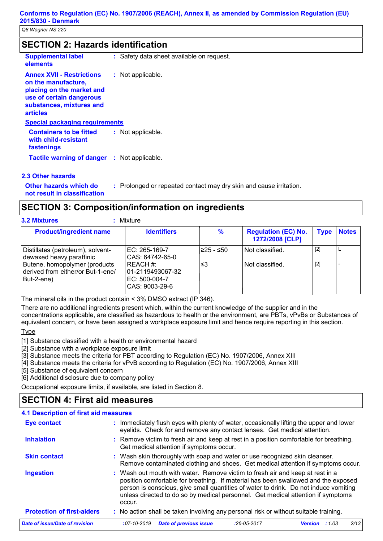## **SECTION 2: Hazards identification**

| <b>Supplemental label</b><br>elements                                                                                                                           | : Safety data sheet available on request. |
|-----------------------------------------------------------------------------------------------------------------------------------------------------------------|-------------------------------------------|
| <b>Annex XVII - Restrictions</b><br>on the manufacture,<br>placing on the market and<br>use of certain dangerous<br>substances, mixtures and<br><b>articles</b> | : Not applicable.                         |
| <b>Special packaging requirements</b>                                                                                                                           |                                           |
| <b>Containers to be fitted</b><br>with child-resistant<br>fastenings                                                                                            | : Not applicable.                         |
| <b>Tactile warning of danger : Not applicable.</b>                                                                                                              |                                           |
| 2.2 Othor hozarde                                                                                                                                               |                                           |

#### **2.3 Other hazards**

**Other hazards which do : not result in classification**

: Prolonged or repeated contact may dry skin and cause irritation.

**SECTION 3: Composition/information on ingredients**

**3.2 Mixtures :** Mixture

| <b>Product/ingredient name</b>                                                   | <b>Identifiers</b>                                               | ℅          | <b>Regulation (EC) No.</b><br>1272/2008 [CLP] | Type  | <b>Notes</b> |
|----------------------------------------------------------------------------------|------------------------------------------------------------------|------------|-----------------------------------------------|-------|--------------|
| Distillates (petroleum), solvent-<br>dewaxed heavy paraffinic                    | EC: 265-169-7<br>CAS: 64742-65-0                                 | l≥25 - ≤50 | Not classified.                               | $[2]$ |              |
| Butene, homopolymer (products<br>derived from either/or But-1-ene/<br>But-2-ene) | REACH #:<br>101-2119493067-32<br>EC: 500-004-7<br>CAS: 9003-29-6 | ≤3         | Not classified.                               | $[2]$ |              |

The mineral oils in the product contain < 3% DMSO extract (IP 346).

There are no additional ingredients present which, within the current knowledge of the supplier and in the concentrations applicable, are classified as hazardous to health or the environment, are PBTs, vPvBs or Substances of equivalent concern, or have been assigned a workplace exposure limit and hence require reporting in this section.

#### Type

[1] Substance classified with a health or environmental hazard

[2] Substance with a workplace exposure limit

[3] Substance meets the criteria for PBT according to Regulation (EC) No. 1907/2006, Annex XIII

[4] Substance meets the criteria for vPvB according to Regulation (EC) No. 1907/2006, Annex XIII

[5] Substance of equivalent concern

[6] Additional disclosure due to company policy

Occupational exposure limits, if available, are listed in Section 8.

## **SECTION 4: First aid measures**

| 4.1 Description of first aid measures |                                                                                                                                                                                                                                                                                                                                                           |  |  |
|---------------------------------------|-----------------------------------------------------------------------------------------------------------------------------------------------------------------------------------------------------------------------------------------------------------------------------------------------------------------------------------------------------------|--|--|
| <b>Eye contact</b>                    | : Immediately flush eyes with plenty of water, occasionally lifting the upper and lower<br>eyelids. Check for and remove any contact lenses. Get medical attention.                                                                                                                                                                                       |  |  |
| <b>Inhalation</b>                     | : Remove victim to fresh air and keep at rest in a position comfortable for breathing.<br>Get medical attention if symptoms occur.                                                                                                                                                                                                                        |  |  |
| <b>Skin contact</b>                   | : Wash skin thoroughly with soap and water or use recognized skin cleanser.<br>Remove contaminated clothing and shoes. Get medical attention if symptoms occur.                                                                                                                                                                                           |  |  |
| <b>Ingestion</b>                      | : Wash out mouth with water. Remove victim to fresh air and keep at rest in a<br>position comfortable for breathing. If material has been swallowed and the exposed<br>person is conscious, give small quantities of water to drink. Do not induce vomiting<br>unless directed to do so by medical personnel. Get medical attention if symptoms<br>occur. |  |  |
| <b>Protection of first-aiders</b>     | : No action shall be taken involving any personal risk or without suitable training.                                                                                                                                                                                                                                                                      |  |  |
| Date of issue/Date of revision        | <b>Date of previous issue</b><br>2/13<br>$:07 - 10 - 2019$<br>$:26-05-2017$<br><b>Version</b><br>:1.03                                                                                                                                                                                                                                                    |  |  |
|                                       |                                                                                                                                                                                                                                                                                                                                                           |  |  |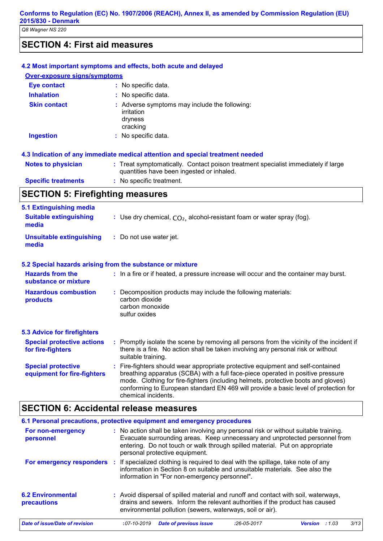## **SECTION 4: First aid measures**

|                                                          | 4.2 Most important symptoms and effects, both acute and delayed                                                                                                                                                                                                                                                                                                       |
|----------------------------------------------------------|-----------------------------------------------------------------------------------------------------------------------------------------------------------------------------------------------------------------------------------------------------------------------------------------------------------------------------------------------------------------------|
| <b>Over-exposure signs/symptoms</b>                      |                                                                                                                                                                                                                                                                                                                                                                       |
| <b>Eye contact</b>                                       | : No specific data.                                                                                                                                                                                                                                                                                                                                                   |
| <b>Inhalation</b>                                        | : No specific data.                                                                                                                                                                                                                                                                                                                                                   |
| <b>Skin contact</b>                                      | : Adverse symptoms may include the following:<br>irritation<br>dryness<br>cracking                                                                                                                                                                                                                                                                                    |
| <b>Ingestion</b>                                         | : No specific data.                                                                                                                                                                                                                                                                                                                                                   |
|                                                          | 4.3 Indication of any immediate medical attention and special treatment needed                                                                                                                                                                                                                                                                                        |
| <b>Notes to physician</b>                                | : Treat symptomatically. Contact poison treatment specialist immediately if large<br>quantities have been ingested or inhaled.                                                                                                                                                                                                                                        |
| <b>Specific treatments</b>                               | : No specific treatment.                                                                                                                                                                                                                                                                                                                                              |
| <b>SECTION 5: Firefighting measures</b>                  |                                                                                                                                                                                                                                                                                                                                                                       |
| <b>5.1 Extinguishing media</b>                           |                                                                                                                                                                                                                                                                                                                                                                       |
| <b>Suitable extinguishing</b><br>media                   | : Use dry chemical, $CO2$ , alcohol-resistant foam or water spray (fog).                                                                                                                                                                                                                                                                                              |
| <b>Unsuitable extinguishing</b><br>media                 | : Do not use water jet.                                                                                                                                                                                                                                                                                                                                               |
|                                                          | 5.2 Special hazards arising from the substance or mixture                                                                                                                                                                                                                                                                                                             |
| <b>Hazards from the</b><br>substance or mixture          | : In a fire or if heated, a pressure increase will occur and the container may burst.                                                                                                                                                                                                                                                                                 |
| <b>Hazardous combustion</b><br>products                  | : Decomposition products may include the following materials:<br>carbon dioxide<br>carbon monoxide<br>sulfur oxides                                                                                                                                                                                                                                                   |
| <b>5.3 Advice for firefighters</b>                       |                                                                                                                                                                                                                                                                                                                                                                       |
| <b>Special protective actions</b><br>for fire-fighters   | : Promptly isolate the scene by removing all persons from the vicinity of the incident if<br>there is a fire. No action shall be taken involving any personal risk or without<br>suitable training.                                                                                                                                                                   |
| <b>Special protective</b><br>equipment for fire-fighters | : Fire-fighters should wear appropriate protective equipment and self-contained<br>breathing apparatus (SCBA) with a full face-piece operated in positive pressure<br>mode. Clothing for fire-fighters (including helmets, protective boots and gloves)<br>conforming to European standard EN 469 will provide a basic level of protection for<br>chemical incidents. |
|                                                          | <b>SECTION 6: Accidental release measures</b>                                                                                                                                                                                                                                                                                                                         |
|                                                          | as processions, protective equipment and emergency procedures                                                                                                                                                                                                                                                                                                         |

|                                         |                                                                                                                                                                                                                                 | 6.1 Personal precautions, protective equipment and emergency procedures                                                                                                                                         |                                |                                                                                                                                                                                                                                                    |                |       |      |
|-----------------------------------------|---------------------------------------------------------------------------------------------------------------------------------------------------------------------------------------------------------------------------------|-----------------------------------------------------------------------------------------------------------------------------------------------------------------------------------------------------------------|--------------------------------|----------------------------------------------------------------------------------------------------------------------------------------------------------------------------------------------------------------------------------------------------|----------------|-------|------|
| For non-emergency<br>personnel          |                                                                                                                                                                                                                                 |                                                                                                                                                                                                                 | personal protective equipment. | : No action shall be taken involving any personal risk or without suitable training.<br>Evacuate surrounding areas. Keep unnecessary and unprotected personnel from<br>entering. Do not touch or walk through spilled material. Put on appropriate |                |       |      |
| For emergency responders                |                                                                                                                                                                                                                                 | If specialized clothing is required to deal with the spillage, take note of any<br>information in Section 8 on suitable and unsuitable materials. See also the<br>information in "For non-emergency personnel". |                                |                                                                                                                                                                                                                                                    |                |       |      |
| <b>6.2 Environmental</b><br>precautions | : Avoid dispersal of spilled material and runoff and contact with soil, waterways,<br>drains and sewers. Inform the relevant authorities if the product has caused<br>environmental pollution (sewers, waterways, soil or air). |                                                                                                                                                                                                                 |                                |                                                                                                                                                                                                                                                    |                |       |      |
| Date of issue/Date of revision          | $:07 - 10 - 2019$                                                                                                                                                                                                               |                                                                                                                                                                                                                 | <b>Date of previous issue</b>  | $:26-05-2017$                                                                                                                                                                                                                                      | <b>Version</b> | :1.03 | 3/13 |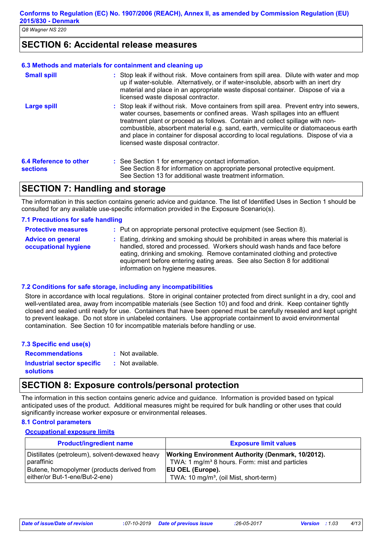## **SECTION 6: Accidental release measures**

#### **6.3 Methods and materials for containment and cleaning up**

| <b>Small spill</b>                               | : Stop leak if without risk. Move containers from spill area. Dilute with water and mop<br>up if water-soluble. Alternatively, or if water-insoluble, absorb with an inert dry<br>material and place in an appropriate waste disposal container. Dispose of via a<br>licensed waste disposal contractor.                                                                                                                                                                       |
|--------------------------------------------------|--------------------------------------------------------------------------------------------------------------------------------------------------------------------------------------------------------------------------------------------------------------------------------------------------------------------------------------------------------------------------------------------------------------------------------------------------------------------------------|
| <b>Large spill</b>                               | : Stop leak if without risk. Move containers from spill area. Prevent entry into sewers,<br>water courses, basements or confined areas. Wash spillages into an effluent<br>treatment plant or proceed as follows. Contain and collect spillage with non-<br>combustible, absorbent material e.g. sand, earth, vermiculite or diatomaceous earth<br>and place in container for disposal according to local regulations. Dispose of via a<br>licensed waste disposal contractor. |
| <b>6.4 Reference to other</b><br><b>sections</b> | : See Section 1 for emergency contact information.<br>See Section 8 for information on appropriate personal protective equipment.<br>See Section 13 for additional waste treatment information.                                                                                                                                                                                                                                                                                |

## **SECTION 7: Handling and storage**

The information in this section contains generic advice and guidance. The list of Identified Uses in Section 1 should be consulted for any available use-specific information provided in the Exposure Scenario(s).

#### **7.1 Precautions for safe handling**

| <b>Protective measures</b>                       | : Put on appropriate personal protective equipment (see Section 8).                                                                                                                                                                                                                                                                                           |
|--------------------------------------------------|---------------------------------------------------------------------------------------------------------------------------------------------------------------------------------------------------------------------------------------------------------------------------------------------------------------------------------------------------------------|
| <b>Advice on general</b><br>occupational hygiene | : Eating, drinking and smoking should be prohibited in areas where this material is<br>handled, stored and processed. Workers should wash hands and face before<br>eating, drinking and smoking. Remove contaminated clothing and protective<br>equipment before entering eating areas. See also Section 8 for additional<br>information on hygiene measures. |

#### **7.2 Conditions for safe storage, including any incompatibilities**

Store in accordance with local regulations. Store in original container protected from direct sunlight in a dry, cool and well-ventilated area, away from incompatible materials (see Section 10) and food and drink. Keep container tightly closed and sealed until ready for use. Containers that have been opened must be carefully resealed and kept upright to prevent leakage. Do not store in unlabeled containers. Use appropriate containment to avoid environmental contamination. See Section 10 for incompatible materials before handling or use.

| 7.3 Specific end use(s)    |                  |
|----------------------------|------------------|
| <b>Recommendations</b>     | : Not available. |
| Industrial sector specific | : Not available. |
| <b>solutions</b>           |                  |

## **SECTION 8: Exposure controls/personal protection**

The information in this section contains generic advice and guidance. Information is provided based on typical anticipated uses of the product. Additional measures might be required for bulk handling or other uses that could significantly increase worker exposure or environmental releases.

#### **8.1 Control parameters**

#### **Occupational exposure limits**

| <b>Product/ingredient name</b>                 | <b>Exposure limit values</b>                               |
|------------------------------------------------|------------------------------------------------------------|
| Distillates (petroleum), solvent-dewaxed heavy | <b>Working Environment Authority (Denmark, 10/2012).</b>   |
| paraffinic                                     | TWA: 1 mg/m <sup>3</sup> 8 hours. Form: mist and particles |
| Butene, homopolymer (products derived from     | <b>EU OEL (Europe).</b>                                    |
| either/or But-1-ene/But-2-ene)                 | TWA: 10 mg/m <sup>3</sup> , (oil Mist, short-term)         |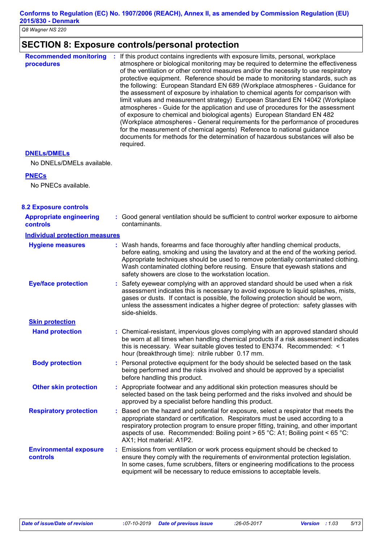## **SECTION 8: Exposure controls/personal protection**

| <b>Recommended monitoring</b><br>procedures | If this product contains ingredients with exposure limits, personal, workplace<br>÷<br>atmosphere or biological monitoring may be required to determine the effectiveness<br>of the ventilation or other control measures and/or the necessity to use respiratory<br>protective equipment. Reference should be made to monitoring standards, such as<br>the following: European Standard EN 689 (Workplace atmospheres - Guidance for<br>the assessment of exposure by inhalation to chemical agents for comparison with<br>limit values and measurement strategy) European Standard EN 14042 (Workplace<br>atmospheres - Guide for the application and use of procedures for the assessment<br>of exposure to chemical and biological agents) European Standard EN 482<br>(Workplace atmospheres - General requirements for the performance of procedures<br>for the measurement of chemical agents) Reference to national guidance<br>documents for methods for the determination of hazardous substances will also be<br>required. |
|---------------------------------------------|---------------------------------------------------------------------------------------------------------------------------------------------------------------------------------------------------------------------------------------------------------------------------------------------------------------------------------------------------------------------------------------------------------------------------------------------------------------------------------------------------------------------------------------------------------------------------------------------------------------------------------------------------------------------------------------------------------------------------------------------------------------------------------------------------------------------------------------------------------------------------------------------------------------------------------------------------------------------------------------------------------------------------------------|
|---------------------------------------------|---------------------------------------------------------------------------------------------------------------------------------------------------------------------------------------------------------------------------------------------------------------------------------------------------------------------------------------------------------------------------------------------------------------------------------------------------------------------------------------------------------------------------------------------------------------------------------------------------------------------------------------------------------------------------------------------------------------------------------------------------------------------------------------------------------------------------------------------------------------------------------------------------------------------------------------------------------------------------------------------------------------------------------------|

#### **DNELs/DMELs**

No DNELs/DMELs available.

#### **PNECs**

No PNECs available.

| <b>8.2 Exposure controls</b>                      |                                                                                                                                                                                                                                                                                                                                                                                                   |  |
|---------------------------------------------------|---------------------------------------------------------------------------------------------------------------------------------------------------------------------------------------------------------------------------------------------------------------------------------------------------------------------------------------------------------------------------------------------------|--|
| <b>Appropriate engineering</b><br><b>controls</b> | : Good general ventilation should be sufficient to control worker exposure to airborne<br>contaminants.                                                                                                                                                                                                                                                                                           |  |
| <b>Individual protection measures</b>             |                                                                                                                                                                                                                                                                                                                                                                                                   |  |
| <b>Hygiene measures</b>                           | : Wash hands, forearms and face thoroughly after handling chemical products,<br>before eating, smoking and using the lavatory and at the end of the working period.<br>Appropriate techniques should be used to remove potentially contaminated clothing.<br>Wash contaminated clothing before reusing. Ensure that eyewash stations and<br>safety showers are close to the workstation location. |  |
| <b>Eye/face protection</b>                        | : Safety eyewear complying with an approved standard should be used when a risk<br>assessment indicates this is necessary to avoid exposure to liquid splashes, mists,<br>gases or dusts. If contact is possible, the following protection should be worn,<br>unless the assessment indicates a higher degree of protection: safety glasses with<br>side-shields.                                 |  |
| <b>Skin protection</b>                            |                                                                                                                                                                                                                                                                                                                                                                                                   |  |
| <b>Hand protection</b>                            | : Chemical-resistant, impervious gloves complying with an approved standard should<br>be worn at all times when handling chemical products if a risk assessment indicates<br>this is necessary. Wear suitable gloves tested to EN374. Recommended: $\leq 1$<br>hour (breakthrough time): nitrile rubber 0.17 mm.                                                                                  |  |
| <b>Body protection</b>                            | : Personal protective equipment for the body should be selected based on the task<br>being performed and the risks involved and should be approved by a specialist<br>before handling this product.                                                                                                                                                                                               |  |
| <b>Other skin protection</b>                      | : Appropriate footwear and any additional skin protection measures should be<br>selected based on the task being performed and the risks involved and should be<br>approved by a specialist before handling this product.                                                                                                                                                                         |  |
| <b>Respiratory protection</b>                     | : Based on the hazard and potential for exposure, select a respirator that meets the<br>appropriate standard or certification. Respirators must be used according to a<br>respiratory protection program to ensure proper fitting, training, and other important<br>aspects of use. Recommended: Boiling point > 65 °C: A1; Boiling point < 65 °C:<br>AX1; Hot material: A1P2.                    |  |
| <b>Environmental exposure</b><br>controls         | : Emissions from ventilation or work process equipment should be checked to<br>ensure they comply with the requirements of environmental protection legislation.<br>In some cases, fume scrubbers, filters or engineering modifications to the process<br>equipment will be necessary to reduce emissions to acceptable levels.                                                                   |  |
|                                                   |                                                                                                                                                                                                                                                                                                                                                                                                   |  |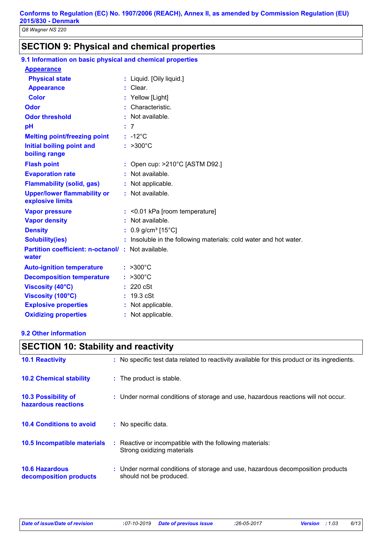## **SECTION 9: Physical and chemical properties**

| 9.1 Information on basic physical and chemical properties   |                                                                   |
|-------------------------------------------------------------|-------------------------------------------------------------------|
| <b>Appearance</b>                                           |                                                                   |
| <b>Physical state</b>                                       | : Liquid. [Oily liquid.]                                          |
| <b>Appearance</b>                                           | $:$ Clear.                                                        |
| <b>Color</b>                                                | : Yellow [Light]                                                  |
| <b>Odor</b>                                                 | : Characteristic.                                                 |
| <b>Odor threshold</b>                                       | : Not available.                                                  |
| pH                                                          | : 7                                                               |
| <b>Melting point/freezing point</b>                         | $: -12^{\circ}$ C                                                 |
| <b>Initial boiling point and</b><br>boiling range           | $: >300^{\circ}C$                                                 |
| <b>Flash point</b>                                          | : Open cup: $>210^{\circ}$ C [ASTM D92.]                          |
| <b>Evaporation rate</b>                                     | : Not available.                                                  |
| <b>Flammability (solid, gas)</b>                            | : Not applicable.                                                 |
| <b>Upper/lower flammability or</b><br>explosive limits      | : Not available.                                                  |
| <b>Vapor pressure</b>                                       | : < 0.01 kPa [room temperature]                                   |
| <b>Vapor density</b>                                        | : Not available.                                                  |
| <b>Density</b>                                              | : $0.9$ g/cm <sup>3</sup> [15°C]                                  |
| <b>Solubility(ies)</b>                                      | : Insoluble in the following materials: cold water and hot water. |
| Partition coefficient: n-octanol/ : Not available.<br>water |                                                                   |
| <b>Auto-ignition temperature</b>                            | $: >300^{\circ}$ C                                                |
| <b>Decomposition temperature</b>                            | $: >300^{\circ}C$                                                 |
| <b>Viscosity (40°C)</b>                                     | : 220 cSt                                                         |
| Viscosity (100°C)                                           | : 19.3 cSt                                                        |
| <b>Explosive properties</b>                                 | : Not applicable.                                                 |
| <b>Oxidizing properties</b>                                 | Not applicable.                                                   |

## **9.2 Other information**

## **10.6 Hazardous 10.4 Conditions to avoid** Under normal conditions of storage and use, hazardous decomposition products **: 10.2 Chemical stability** : Reactive or incompatible with the following materials: Strong oxidizing materials : The product is stable. : No specific data. **10.5 Incompatible materials : 10.3 Possibility of hazardous reactions :** Under normal conditions of storage and use, hazardous reactions will not occur. **SECTION 10: Stability and reactivity 10.1 Reactivity :** No specific test data related to reactivity available for this product or its ingredients.

should not be produced.

**decomposition products**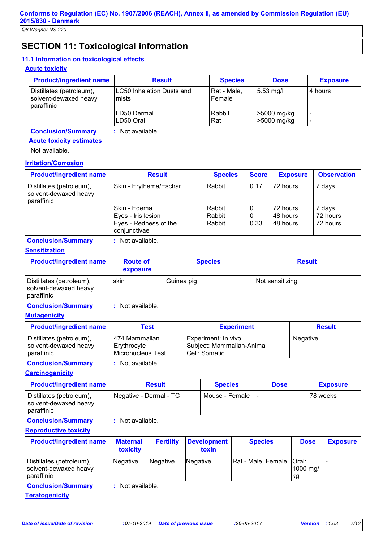## **SECTION 11: Toxicological information**

#### **11.1 Information on toxicological effects**

#### **Acute toxicity**

| <b>Product/ingredient name</b>                                  | <b>Result</b>                              | <b>Species</b>        | <b>Dose</b>                | <b>Exposure</b>          |
|-----------------------------------------------------------------|--------------------------------------------|-----------------------|----------------------------|--------------------------|
| Distillates (petroleum),<br>solvent-dewaxed heavy<br>paraffinic | <b>LC50 Inhalation Dusts and</b><br>lmists | Rat - Male,<br>Female | $5.53 \text{ mg/l}$        | 4 hours                  |
|                                                                 | LD50 Dermal<br>LD50 Oral                   | Rabbit<br>Rat         | >5000 mg/kg<br>>5000 mg/kg | $\overline{\phantom{0}}$ |
| <b>Conclusion/Summary</b>                                       | : Not available.                           |                       |                            |                          |

## **Acute toxicity estimates**

Not available.

#### **Irritation/Corrosion**

| <b>Product/ingredient name</b>                                  | <b>Result</b>                         | <b>Species</b> | <b>Score</b> | <b>Exposure</b> | <b>Observation</b> |
|-----------------------------------------------------------------|---------------------------------------|----------------|--------------|-----------------|--------------------|
| Distillates (petroleum),<br>solvent-dewaxed heavy<br>paraffinic | Skin - Erythema/Eschar                | Rabbit         | 0.17         | 72 hours        | 7 days             |
|                                                                 | Skin - Edema                          | Rabbit         | 0            | 72 hours        | 7 days             |
|                                                                 | Eyes - Iris lesion                    | Rabbit         | 0            | I48 hours       | 72 hours           |
|                                                                 | Eyes - Redness of the<br>conjunctivae | Rabbit         | 0.33         | 48 hours        | 72 hours           |

#### **Conclusion/Summary :** Not available.

#### **Sensitization**

| <b>Product/ingredient name</b>                                  | <b>Route of</b><br>exposure | <b>Species</b> | <b>Result</b>   |
|-----------------------------------------------------------------|-----------------------------|----------------|-----------------|
| Distillates (petroleum),<br>solvent-dewaxed heavy<br>paraffinic | skin                        | Guinea pig     | Not sensitizing |

**Conclusion/Summary :** Not available.

#### **Mutagenicity**

| <b>Product/ingredient name</b> | Test              | <b>Experiment</b>         | <b>Result</b> |
|--------------------------------|-------------------|---------------------------|---------------|
| Distillates (petroleum),       | 474 Mammalian     | Experiment: In vivo       | Negative      |
| solvent-dewaxed heavy          | Erythrocyte       | Subject: Mammalian-Animal |               |
| l paraffinic                   | Micronucleus Test | Cell: Somatic             |               |

**Conclusion/Summary :** Not available.

**Carcinogenicity**

| <b>Product/ingredient name</b>                                  | <b>Result</b>          | <b>Species</b>   | <b>Dose</b> | <b>Exposure</b> |
|-----------------------------------------------------------------|------------------------|------------------|-------------|-----------------|
| Distillates (petroleum),<br>solvent-dewaxed heavy<br>paraffinic | Negative - Dermal - TC | Mouse - Female I |             | 78 weeks        |

**Conclusion/Summary :** Not available.

#### **Reproductive toxicity**

| Rat - Male, Female   Oral:<br>Negative<br>Negative<br>Negative<br>1000 mg/<br>lka. | <b>Product/ingredient name</b>                                  | <b>Maternal</b><br>toxicity | <b>Fertility</b> | Development<br>toxin | <b>Species</b> | <b>Dose</b> | <b>Exposure</b> |
|------------------------------------------------------------------------------------|-----------------------------------------------------------------|-----------------------------|------------------|----------------------|----------------|-------------|-----------------|
|                                                                                    | Distillates (petroleum),<br>solvent-dewaxed heavy<br>paraffinic |                             |                  |                      |                |             |                 |

**Conclusion/Summary :** Not available.

**Teratogenicity**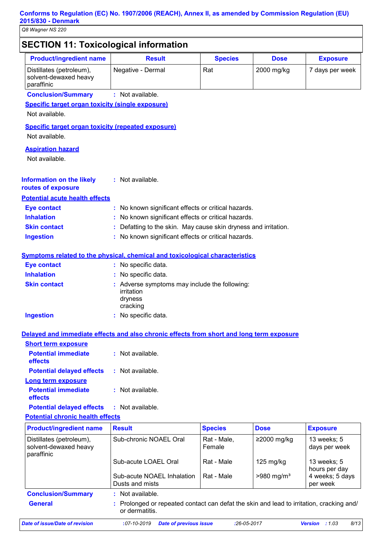## **SECTION 11: Toxicological information**

| <b>Product/ingredient name</b>                                  | <b>Result</b>                                                                                            | <b>Species</b> | <b>Dose</b>              | <b>Exposure</b>              |
|-----------------------------------------------------------------|----------------------------------------------------------------------------------------------------------|----------------|--------------------------|------------------------------|
| Distillates (petroleum),<br>solvent-dewaxed heavy<br>paraffinic | Negative - Dermal                                                                                        | Rat            | 2000 mg/kg               | 7 days per week              |
| <b>Conclusion/Summary</b>                                       | : Not available.                                                                                         |                |                          |                              |
| <b>Specific target organ toxicity (single exposure)</b>         |                                                                                                          |                |                          |                              |
| Not available.                                                  |                                                                                                          |                |                          |                              |
| <b>Specific target organ toxicity (repeated exposure)</b>       |                                                                                                          |                |                          |                              |
| Not available.                                                  |                                                                                                          |                |                          |                              |
| <b>Aspiration hazard</b>                                        |                                                                                                          |                |                          |                              |
| Not available.                                                  |                                                                                                          |                |                          |                              |
|                                                                 |                                                                                                          |                |                          |                              |
| <b>Information on the likely</b>                                | : Not available.                                                                                         |                |                          |                              |
| routes of exposure                                              |                                                                                                          |                |                          |                              |
| <b>Potential acute health effects</b>                           |                                                                                                          |                |                          |                              |
| <b>Eye contact</b>                                              | : No known significant effects or critical hazards.                                                      |                |                          |                              |
| <b>Inhalation</b>                                               | No known significant effects or critical hazards.                                                        |                |                          |                              |
| <b>Skin contact</b>                                             | Defatting to the skin. May cause skin dryness and irritation.                                            |                |                          |                              |
| <b>Ingestion</b>                                                | No known significant effects or critical hazards.                                                        |                |                          |                              |
|                                                                 | <b>Symptoms related to the physical, chemical and toxicological characteristics</b>                      |                |                          |                              |
| <b>Eye contact</b>                                              | : No specific data.                                                                                      |                |                          |                              |
| <b>Inhalation</b>                                               | : No specific data.                                                                                      |                |                          |                              |
| <b>Skin contact</b>                                             | : Adverse symptoms may include the following:                                                            |                |                          |                              |
|                                                                 | irritation                                                                                               |                |                          |                              |
|                                                                 | dryness                                                                                                  |                |                          |                              |
| <b>Ingestion</b>                                                | cracking<br>: No specific data.                                                                          |                |                          |                              |
|                                                                 |                                                                                                          |                |                          |                              |
|                                                                 | Delayed and immediate effects and also chronic effects from short and long term exposure                 |                |                          |                              |
| <b>Short term exposure</b>                                      |                                                                                                          |                |                          |                              |
| <b>Potential immediate</b><br>effects                           | : Not available.                                                                                         |                |                          |                              |
| <b>Potential delayed effects</b>                                | : Not available.                                                                                         |                |                          |                              |
| <b>Long term exposure</b>                                       |                                                                                                          |                |                          |                              |
| <b>Potential immediate</b><br>effects                           | : Not available.                                                                                         |                |                          |                              |
| <b>Potential delayed effects</b>                                | : Not available.                                                                                         |                |                          |                              |
| <b>Potential chronic health effects</b>                         |                                                                                                          |                |                          |                              |
| <b>Product/ingredient name</b>                                  | <b>Result</b>                                                                                            | <b>Species</b> | <b>Dose</b>              | <b>Exposure</b>              |
| Distillates (petroleum),                                        | Sub-chronic NOAEL Oral                                                                                   | Rat - Male,    | ≥2000 mg/kg              | 13 weeks; 5                  |
| solvent-dewaxed heavy                                           |                                                                                                          | Female         |                          | days per week                |
| paraffinic                                                      |                                                                                                          |                |                          |                              |
|                                                                 | Sub-acute LOAEL Oral                                                                                     | Rat - Male     | $125$ mg/kg              | 13 weeks; 5<br>hours per day |
|                                                                 | Sub-acute NOAEL Inhalation                                                                               | Rat - Male     | $>980$ mg/m <sup>3</sup> | 4 weeks; 5 days              |
|                                                                 | Dusts and mists                                                                                          |                |                          | per week                     |
| <b>Conclusion/Summary</b>                                       | : Not available.                                                                                         |                |                          |                              |
| <b>General</b>                                                  | Prolonged or repeated contact can defat the skin and lead to irritation, cracking and/<br>or dermatitis. |                |                          |                              |
| <b>Date of issue/Date of revision</b>                           | <b>Date of previous issue</b><br>$:07-10-2019$                                                           | $:26-05-2017$  |                          | 8/13<br>Version : 1.03       |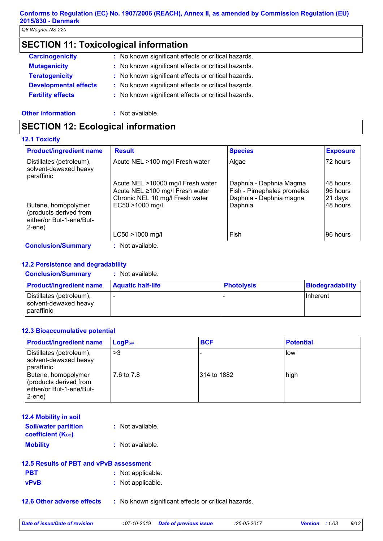## **Conforms to Regulation (EC) No. 1907/2006 (REACH), Annex II, as amended by Commission Regulation (EU) 2015/830 - Denmark**

*Q8 Wagner NS 220*

## **SECTION 11: Toxicological information**

| <b>Carcinogenicity</b>       | : No known significant effects or critical hazards. |
|------------------------------|-----------------------------------------------------|
| <b>Mutagenicity</b>          | : No known significant effects or critical hazards. |
| <b>Teratogenicity</b>        | : No known significant effects or critical hazards. |
| <b>Developmental effects</b> | : No known significant effects or critical hazards. |
| <b>Fertility effects</b>     | : No known significant effects or critical hazards. |
|                              |                                                     |

#### **Other information :** Not available.

## **SECTION 12: Ecological information**

#### **12.1 Toxicity**

| <b>Product/ingredient name</b>                                                            | <b>Result</b>                                                                                                              | <b>Species</b>                                                                              | <b>Exposure</b>                             |
|-------------------------------------------------------------------------------------------|----------------------------------------------------------------------------------------------------------------------------|---------------------------------------------------------------------------------------------|---------------------------------------------|
| Distillates (petroleum),<br>solvent-dewaxed heavy<br>paraffinic                           | Acute NEL >100 mg/l Fresh water                                                                                            | Algae                                                                                       | 72 hours                                    |
| Butene, homopolymer<br>(products derived from<br>either/or But-1-ene/But-<br>$2$ -ene $)$ | Acute NEL >10000 mg/l Fresh water<br>Acute NEL ≥100 mg/l Fresh water<br>Chronic NEL 10 mg/l Fresh water<br>EC50 >1000 mg/l | Daphnia - Daphnia Magma<br>Fish - Pimephales promelas<br>Daphnia - Daphnia magna<br>Daphnia | 48 hours<br>96 hours<br>21 days<br>48 hours |
|                                                                                           | LC50 >1000 mg/l                                                                                                            | Fish                                                                                        | 96 hours                                    |
| <b>Conclusion/Summary</b>                                                                 | : Not available.                                                                                                           |                                                                                             |                                             |

## **12.2 Persistence and degradability**

#### **Conclusion/Summary :** Not available.

| <b>Product/ingredient name</b>                                         | <b>Aquatic half-life</b> | <b>Photolysis</b> | Biodegradability |
|------------------------------------------------------------------------|--------------------------|-------------------|------------------|
| Distillates (petroleum),<br>solvent-dewaxed heavy<br><b>Daraffinic</b> |                          |                   | IInherent        |

#### **12.3 Bioaccumulative potential**

| <b>Product/ingredient name</b>                                                            | $LogP_{ow}$ | <b>BCF</b>   | <b>Potential</b> |
|-------------------------------------------------------------------------------------------|-------------|--------------|------------------|
| Distillates (petroleum),<br>solvent-dewaxed heavy<br>paraffinic                           | >3          |              | How              |
| Butene, homopolymer<br>(products derived from<br>either/or But-1-ene/But-<br>$2$ -ene $)$ | 7.6 to 7.8  | 1314 to 1882 | high             |

| <b>12.4 Mobility in soil</b>                            |                  |
|---------------------------------------------------------|------------------|
| <b>Soil/water partition</b><br><b>coefficient (Koc)</b> | : Not available. |
| <b>Mobility</b>                                         | : Not available. |

| 12.5 Results of PBT and vPvB assessment |                   |  |
|-----------------------------------------|-------------------|--|
| <b>PBT</b>                              | : Not applicable. |  |
| <b>vPvB</b>                             | : Not applicable. |  |

**12.6 Other adverse effects** : No known significant effects or critical hazards.

*Date of issue/Date of revision* **:***07-10-2019 Date of previous issue :26-05-2017 Version : 1.03 9/13*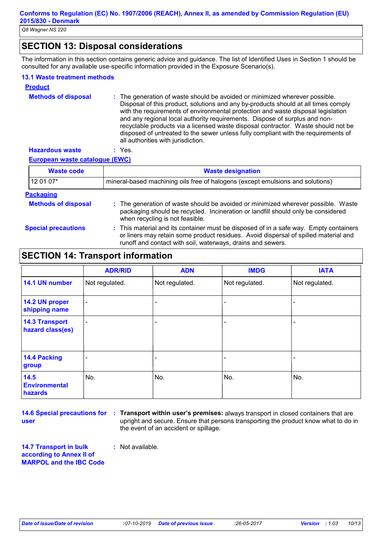## **SECTION 13: Disposal considerations**

The information in this section contains generic advice and guidance. The list of Identified Uses in Section 1 should be consulted for any available use-specific information provided in the Exposure Scenario(s).

#### **13.1 Waste treatment methods**

| <b>Product</b>             |                                                                                                                                                                                                                                                                                                                                                                                                                                                                                                                                                      |
|----------------------------|------------------------------------------------------------------------------------------------------------------------------------------------------------------------------------------------------------------------------------------------------------------------------------------------------------------------------------------------------------------------------------------------------------------------------------------------------------------------------------------------------------------------------------------------------|
| <b>Methods of disposal</b> | : The generation of waste should be avoided or minimized wherever possible.<br>Disposal of this product, solutions and any by-products should at all times comply<br>with the requirements of environmental protection and waste disposal legislation<br>and any regional local authority requirements. Dispose of surplus and non-<br>recyclable products via a licensed waste disposal contractor. Waste should not be<br>disposed of untreated to the sewer unless fully compliant with the requirements of<br>all authorities with jurisdiction. |
| <b>Hazardous waste</b>     | Yes.                                                                                                                                                                                                                                                                                                                                                                                                                                                                                                                                                 |

#### **European waste catalogue (EWC)**

| <b>Waste code</b>          | <b>Waste designation</b>                                                                                                                                                                                                                    |  |
|----------------------------|---------------------------------------------------------------------------------------------------------------------------------------------------------------------------------------------------------------------------------------------|--|
| 12 01 07*                  | mineral-based machining oils free of halogens (except emulsions and solutions)                                                                                                                                                              |  |
| <b>Packaging</b>           |                                                                                                                                                                                                                                             |  |
| <b>Methods of disposal</b> | : The generation of waste should be avoided or minimized wherever possible. Waste<br>packaging should be recycled. Incineration or landfill should only be considered<br>when recycling is not feasible.                                    |  |
| <b>Special precautions</b> | : This material and its container must be disposed of in a safe way. Empty containers<br>or liners may retain some product residues. Avoid dispersal of spilled material and<br>runoff and contact with soil, waterways, drains and sewers. |  |

## **SECTION 14: Transport information**

|                                           | <b>ADR/RID</b>           | <b>ADN</b>     | <b>IMDG</b>    | <b>IATA</b>    |
|-------------------------------------------|--------------------------|----------------|----------------|----------------|
| 14.1 UN number                            | Not regulated.           | Not regulated. | Not regulated. | Not regulated. |
| 14.2 UN proper<br>shipping name           | $\overline{\phantom{a}}$ |                |                |                |
| <b>14.3 Transport</b><br>hazard class(es) | $\overline{\phantom{a}}$ |                | -              |                |
| <b>14.4 Packing</b><br>group              |                          | -              |                |                |
| 14.5<br><b>Environmental</b><br>hazards   | No.                      | No.            | No.            | No.            |

**user**

**14.6 Special precautions for : Transport within user's premises:** always transport in closed containers that are upright and secure. Ensure that persons transporting the product know what to do in the event of an accident or spillage.

**14.7 Transport in bulk according to Annex II of MARPOL and the IBC Code :** Not available.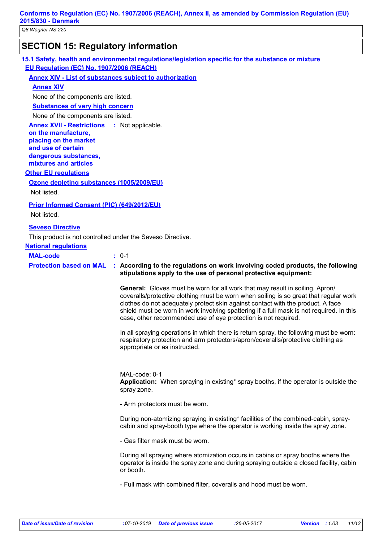## **SECTION 15: Regulatory information**

**15.1 Safety, health and environmental regulations/legislation specific for the substance or mixture EU Regulation (EC) No. 1907/2006 (REACH)**

#### **Annex XIV - List of substances subject to authorization**

**Annex XIV**

None of the components are listed.

**Substances of very high concern**

None of the components are listed.

**Annex XVII - Restrictions on the manufacture, placing on the market and use of certain dangerous substances, mixtures and articles** : Not applicable.

#### **Other EU regulations**

#### **Ozone depleting substances (1005/2009/EU)**

Not listed.

#### **Prior Informed Consent (PIC) (649/2012/EU)**

Not listed.

#### **Seveso Directive**

This product is not controlled under the Seveso Directive.

## **National regulations**

**MAL-code :** 0-1

## **Protection based on MAL : According to the regulations on work involving coded products, the following stipulations apply to the use of personal protective equipment:**

**General:** Gloves must be worn for all work that may result in soiling. Apron/ coveralls/protective clothing must be worn when soiling is so great that regular work clothes do not adequately protect skin against contact with the product. A face shield must be worn in work involving spattering if a full mask is not required. In this case, other recommended use of eye protection is not required.

In all spraying operations in which there is return spray, the following must be worn: respiratory protection and arm protectors/apron/coveralls/protective clothing as appropriate or as instructed.

MAL-code: 0-1 **Application:** When spraying in existing\* spray booths, if the operator is outside the spray zone.

- Arm protectors must be worn.

During non-atomizing spraying in existing\* facilities of the combined-cabin, spraycabin and spray-booth type where the operator is working inside the spray zone.

- Gas filter mask must be worn.

During all spraying where atomization occurs in cabins or spray booths where the operator is inside the spray zone and during spraying outside a closed facility, cabin or booth.

- Full mask with combined filter, coveralls and hood must be worn.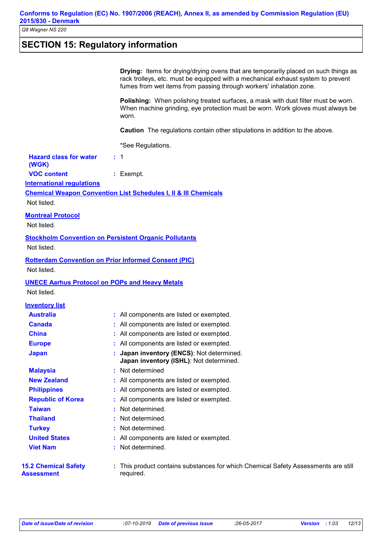## **SECTION 15: Regulatory information**

|                                                       | <b>Drying:</b> Items for drying/drying ovens that are temporarily placed on such things as<br>rack trolleys, etc. must be equipped with a mechanical exhaust system to prevent<br>fumes from wet items from passing through workers' inhalation zone. |
|-------------------------------------------------------|-------------------------------------------------------------------------------------------------------------------------------------------------------------------------------------------------------------------------------------------------------|
|                                                       | Polishing: When polishing treated surfaces, a mask with dust filter must be worn.<br>When machine grinding, eye protection must be worn. Work gloves must always be<br>worn.                                                                          |
|                                                       | <b>Caution</b> The regulations contain other stipulations in addition to the above.                                                                                                                                                                   |
|                                                       | *See Regulations.                                                                                                                                                                                                                                     |
| <b>Hazard class for water</b><br>(WGK)                | $\div$ 1                                                                                                                                                                                                                                              |
| <b>VOC content</b>                                    | $:$ Exempt.                                                                                                                                                                                                                                           |
| <b>International regulations</b>                      |                                                                                                                                                                                                                                                       |
|                                                       | <b>Chemical Weapon Convention List Schedules I, II &amp; III Chemicals</b>                                                                                                                                                                            |
| Not listed.                                           |                                                                                                                                                                                                                                                       |
| <b>Montreal Protocol</b>                              |                                                                                                                                                                                                                                                       |
| Not listed.                                           |                                                                                                                                                                                                                                                       |
|                                                       | <b>Stockholm Convention on Persistent Organic Pollutants</b>                                                                                                                                                                                          |
| Not listed.                                           |                                                                                                                                                                                                                                                       |
|                                                       |                                                                                                                                                                                                                                                       |
| Not listed.                                           | <b>Rotterdam Convention on Prior Informed Consent (PIC)</b>                                                                                                                                                                                           |
| <b>UNECE Aarhus Protocol on POPs and Heavy Metals</b> |                                                                                                                                                                                                                                                       |
| Not listed.                                           |                                                                                                                                                                                                                                                       |
| <b>Inventory list</b>                                 |                                                                                                                                                                                                                                                       |
| <b>Australia</b>                                      | : All components are listed or exempted.                                                                                                                                                                                                              |
| <b>Canada</b>                                         | : All components are listed or exempted.                                                                                                                                                                                                              |
| <b>China</b>                                          | : All components are listed or exempted.                                                                                                                                                                                                              |
| <b>Europe</b>                                         | : All components are listed or exempted.                                                                                                                                                                                                              |
| <b>Japan</b>                                          | : Japan inventory (ENCS): Not determined.<br>Japan inventory (ISHL): Not determined.                                                                                                                                                                  |
| <b>Malaysia</b>                                       | Not determined                                                                                                                                                                                                                                        |
| <b>New Zealand</b>                                    | : All components are listed or exempted.                                                                                                                                                                                                              |
| <b>Philippines</b>                                    | All components are listed or exempted.                                                                                                                                                                                                                |
| <b>Republic of Korea</b>                              | : All components are listed or exempted.                                                                                                                                                                                                              |
| <b>Taiwan</b>                                         | Not determined.                                                                                                                                                                                                                                       |
| <b>Thailand</b>                                       | Not determined.                                                                                                                                                                                                                                       |
| <b>Turkey</b>                                         | Not determined.                                                                                                                                                                                                                                       |
| <b>United States</b>                                  | : All components are listed or exempted.                                                                                                                                                                                                              |
| <b>Viet Nam</b>                                       | Not determined.                                                                                                                                                                                                                                       |
| <b>15.2 Chemical Safety</b><br><b>Assessment</b>      | This product contains substances for which Chemical Safety Assessments are still<br>required.                                                                                                                                                         |